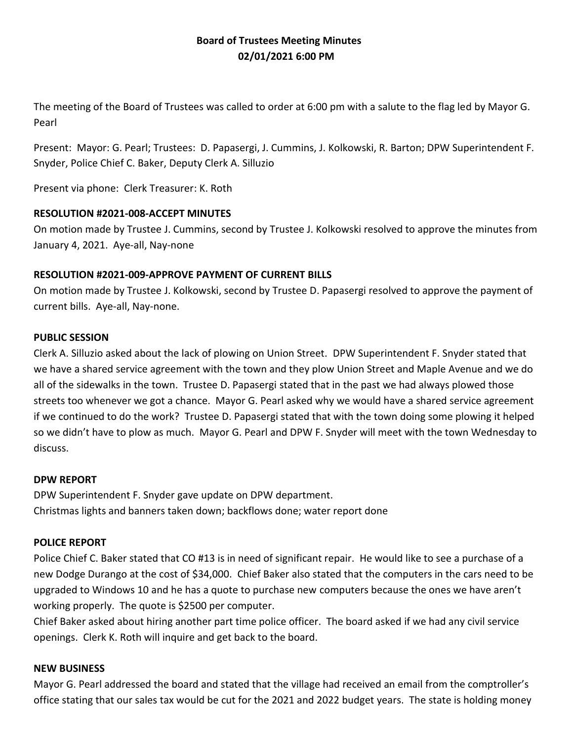# **Board of Trustees Meeting Minutes 02/01/2021 6:00 PM**

The meeting of the Board of Trustees was called to order at 6:00 pm with a salute to the flag led by Mayor G. Pearl

Present: Mayor: G. Pearl; Trustees: D. Papasergi, J. Cummins, J. Kolkowski, R. Barton; DPW Superintendent F. Snyder, Police Chief C. Baker, Deputy Clerk A. Silluzio

Present via phone: Clerk Treasurer: K. Roth

### **RESOLUTION #2021-008-ACCEPT MINUTES**

On motion made by Trustee J. Cummins, second by Trustee J. Kolkowski resolved to approve the minutes from January 4, 2021. Aye-all, Nay-none

### **RESOLUTION #2021-009-APPROVE PAYMENT OF CURRENT BILLS**

On motion made by Trustee J. Kolkowski, second by Trustee D. Papasergi resolved to approve the payment of current bills. Aye-all, Nay-none.

#### **PUBLIC SESSION**

Clerk A. Silluzio asked about the lack of plowing on Union Street. DPW Superintendent F. Snyder stated that we have a shared service agreement with the town and they plow Union Street and Maple Avenue and we do all of the sidewalks in the town. Trustee D. Papasergi stated that in the past we had always plowed those streets too whenever we got a chance. Mayor G. Pearl asked why we would have a shared service agreement if we continued to do the work? Trustee D. Papasergi stated that with the town doing some plowing it helped so we didn't have to plow as much. Mayor G. Pearl and DPW F. Snyder will meet with the town Wednesday to discuss.

#### **DPW REPORT**

DPW Superintendent F. Snyder gave update on DPW department. Christmas lights and banners taken down; backflows done; water report done

### **POLICE REPORT**

Police Chief C. Baker stated that CO #13 is in need of significant repair. He would like to see a purchase of a new Dodge Durango at the cost of \$34,000. Chief Baker also stated that the computers in the cars need to be upgraded to Windows 10 and he has a quote to purchase new computers because the ones we have aren't working properly. The quote is \$2500 per computer.

Chief Baker asked about hiring another part time police officer. The board asked if we had any civil service openings. Clerk K. Roth will inquire and get back to the board.

### **NEW BUSINESS**

Mayor G. Pearl addressed the board and stated that the village had received an email from the comptroller's office stating that our sales tax would be cut for the 2021 and 2022 budget years. The state is holding money